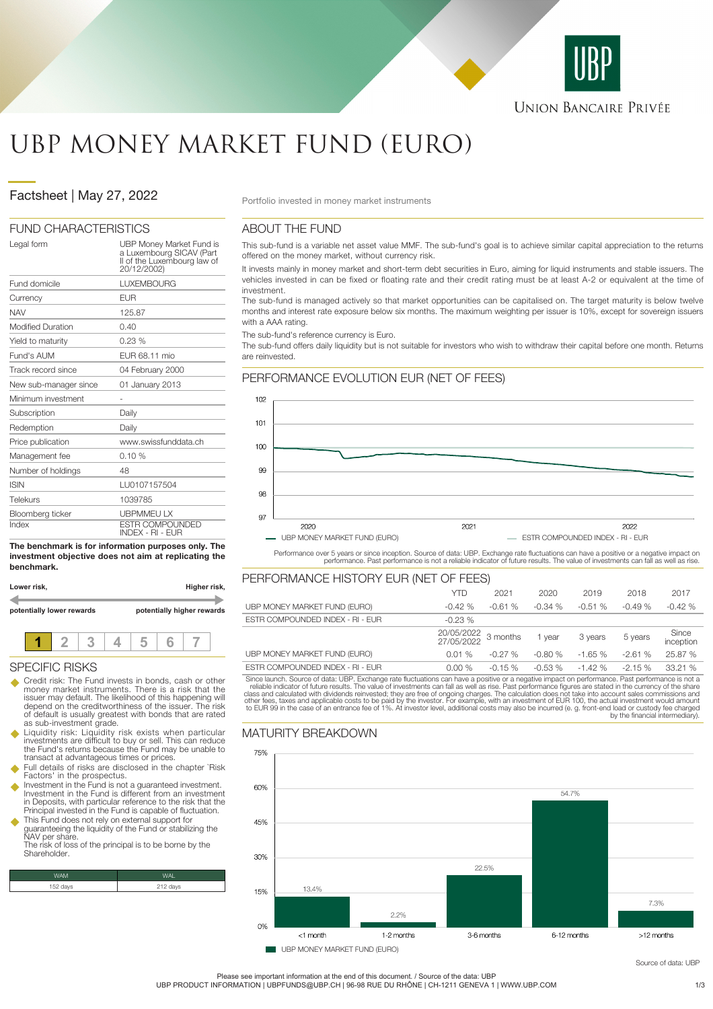

# UBP MONEY MARKET FUND (EURO)

# **Factsheet | May 27, 2022** Portfolio invested in money market instruments

#### FUND CHARACTERISTICS

| Legal form               | UBP Money Market Fund is<br>a Luxembourg SICAV (Part<br>Il of the Luxembourg law of<br>20/12/2002) |
|--------------------------|----------------------------------------------------------------------------------------------------|
| Fund domicile            | <b>LUXEMBOURG</b>                                                                                  |
| Currency                 | <b>EUR</b>                                                                                         |
| <b>NAV</b>               | 125.87                                                                                             |
| <b>Modified Duration</b> | 0.40                                                                                               |
| Yield to maturity        | 0.23%                                                                                              |
| Fund's AUM               | EUR 68.11 mio                                                                                      |
| Track record since       | 04 February 2000                                                                                   |
| New sub-manager since    | 01 January 2013                                                                                    |
| Minimum investment       |                                                                                                    |
| Subscription             | Daily                                                                                              |
| Redemption               | Daily                                                                                              |
| Price publication        | www.swissfunddata.ch                                                                               |
| Management fee           | 0.10%                                                                                              |
| Number of holdings       | 48                                                                                                 |
| <b>ISIN</b>              | LU0107157504                                                                                       |
| Telekurs                 | 1039785                                                                                            |
| Bloomberg ticker         | <b>UBPMMEULX</b>                                                                                   |
| Index                    | <b>ESTR COMPOUNDED</b><br><b>INDEX - RI - EUR</b>                                                  |

**The benchmark is for information purposes only. The investment objective does not aim at replicating the benchmark.**

| Lower risk,               |  |  |                            | Higher risk, |  |  |  |  |
|---------------------------|--|--|----------------------------|--------------|--|--|--|--|
| potentially lower rewards |  |  | potentially higher rewards |              |  |  |  |  |
|                           |  |  |                            |              |  |  |  |  |

### SPECIFIC RISKS

- Credit risk: The Fund invests in bonds, cash or other money market instruments. There is a risk that the issuer may default. The likelihood of this happening will depend on the creditworthiness of the issuer. The risk of default is usually greatest with bonds that are rated as sub-investment grade.
- u Liquidity risk: Liquidity risk exists when particular investments are difficult to buy or sell. This can reduce the Fund's returns because the Fund may be unable to transact at advantageous times or prices.
- Full details of risks are disclosed in the chapter `Risk Factors' in the prospectus.
- Investment in the Fund is not a guaranteed investment. Investment in the Fund is different from an investment in Deposits, with particular reference to the risk that the Principal invested in the Fund is capable of fluctuation.
- u This Fund does not rely on external support for guaranteeing the liquidity of the Fund or stabilizing the NAV per share. The risk of loss of the principal is to be borne by the

Shareholder.

| WAM      | WAI <sup>T</sup> |
|----------|------------------|
| 152 days | 212 days         |

## ABOUT THE FUND

This sub-fund is a variable net asset value MMF. The sub-fund's goal is to achieve similar capital appreciation to the returns offered on the money market, without currency risk.

It invests mainly in money market and short-term debt securities in Euro, aiming for liquid instruments and stable issuers. The vehicles invested in can be fixed or floating rate and their credit rating must be at least A-2 or equivalent at the time of investment.

The sub-fund is managed actively so that market opportunities can be capitalised on. The target maturity is below twelve months and interest rate exposure below six months. The maximum weighting per issuer is 10%, except for sovereign issuers with a AAA rating

The sub-fund's reference currency is Euro.

The sub-fund offers daily liquidity but is not suitable for investors who wish to withdraw their capital before one month. Returns are reinvested.



Performance over 5 years or since inception. Source of data: UBP. Exchange rate fluctuations can have a positive or a negative impact on<br>performance. Past performance is not a reliable indicator of future results. The valu

| PERFORMANCE HISTORY EUR (NET OF FEES) |                          |          |          |          |          |                    |
|---------------------------------------|--------------------------|----------|----------|----------|----------|--------------------|
|                                       | <b>YTD</b>               | 2021     | 2020     | 2019     | 2018     | 2017               |
| UBP MONEY MARKET FUND (EURO)          | $-0.42%$                 | $-0.61%$ | $-0.34%$ | $-0.51%$ | $-0.49%$ | $-0.42%$           |
| ESTR COMPOUNDED INDEX - RI - EUR      | $-0.23%$                 |          |          |          |          |                    |
|                                       | 20/05/2022<br>27/05/2022 | 3 months | 1 vear   | 3 years  | 5 years  | Since<br>inception |
| UBP MONEY MARKET FUND (EURO)          | 0.01%                    | $-0.27%$ | $-0.80%$ | $-1.65%$ | $-2.61%$ | 25.87 %            |
|                                       |                          |          |          |          |          |                    |
| ESTR COMPOUNDED INDEX - RI - EUR      | 0.00%                    | $-0.15%$ | $-0.53%$ | $-1.42%$ | $-2.15%$ | 33.21 %            |

Since launch. Source of data: UBP. Exchange rate fluctuations can have a positive or a negative impact on performance. Past performance is not a reliable indicator of future results. The value of investments can fall as we

# MATURITY BREAKDOWN



UBP MONEY MARKET FUND (EURO)

Source of data: URF

Please see important information at the end of this document. / Source of the data: UBP

UBP PRODUCT INFORMATION | UBPFUNDS@UBP.CH | 96-98 RUE DU RHÔNE | CH-1211 GENEVA 1 | WWW.UBP.COM 31/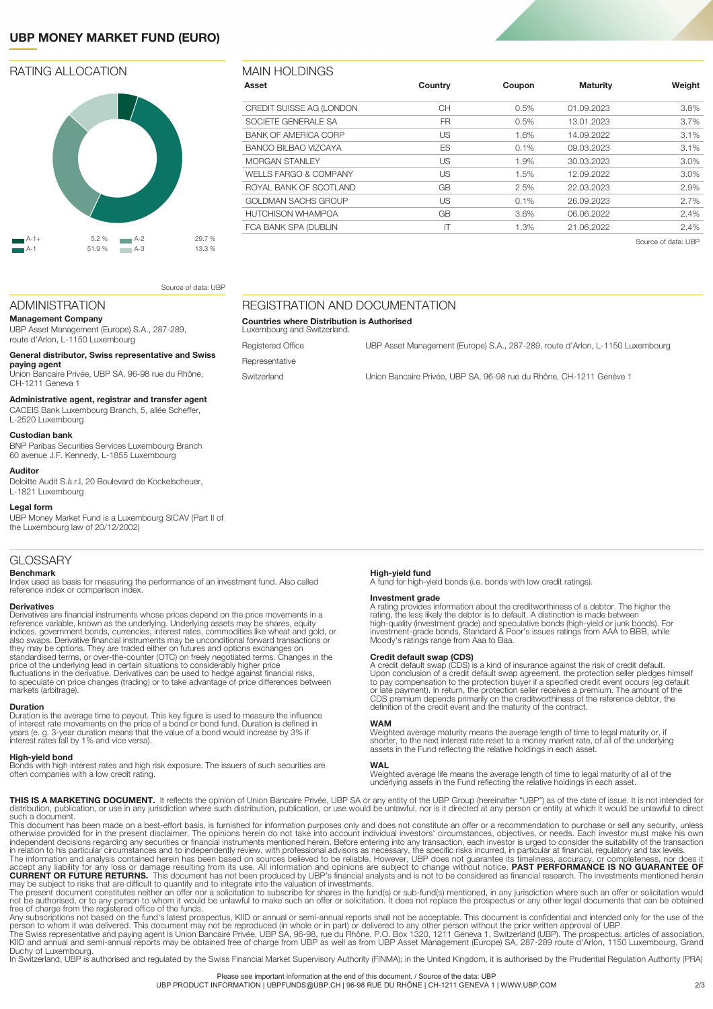# **UBP MONEY MARKET FUND (EURO)**

### RATING ALLOCATION



| Asset                            | Country      | Coupon | <b>Maturity</b> | Weight              |
|----------------------------------|--------------|--------|-----------------|---------------------|
| CREDIT SUISSE AG (LONDON         | CН           | 0.5%   | 01.09.2023      | 3.8%                |
| SOCIETE GENERALE SA              | FR.          | 0.5%   | 13.01.2023      | $3.7\%$             |
| <b>BANK OF AMERICA CORP</b>      | US           | 1.6%   | 14.09.2022      | 3.1%                |
| <b>BANCO BILBAO VIZCAYA</b>      | ES           | 0.1%   | 09.03.2023      | 3.1%                |
| <b>MORGAN STANLEY</b>            | US           | 1.9%   | 30.03.2023      | 3.0%                |
| <b>WELLS FARGO &amp; COMPANY</b> | US           | 1.5%   | 12.09.2022      | 3.0%                |
| ROYAL BANK OF SCOTLAND           | GB           | 2.5%   | 22.03.2023      | 2.9%                |
| GOLDMAN SACHS GROUP              | US           | 0.1%   | 26.09.2023      | 2.7%                |
| HUTCHISON WHAMPOA                | GB           | 3.6%   | 06.06.2022      | 2.4%                |
| FCA BANK SPA (DUBLIN             | $\mathsf{I}$ | 1.3%   | 21.06.2022      | 2.4%                |
|                                  |              |        |                 | Source of data: UBP |

Registered Office **UBP Asset Management (Europe) S.A., 287-289**, route d'Arlon, L-1150 Luxembourg

Switzerland Union Bancaire Privée, UBP SA, 96-98 rue du Rhône, CH-1211 Genève 1

Source of data: UBP

### ADMINISTRATION

**Management Company** UBP Asset Management (Europe) S.A., 287-289, route d'Arlon, L-1150 Luxembourg

#### **General distributor, Swiss representative and Swiss**

**paying agent** Union Bancaire Privée, UBP SA, 96-98 rue du Rhône, CH-1211 Geneva 1

#### **Administrative agent, registrar and transfer agent**

CACEIS Bank Luxembourg Branch, 5, allée Scheffer,

#### L-2520 Luxembourg **Custodian bank**

BNP Paribas Securities Services Luxembourg Branch 60 avenue J.F. Kennedy, L-1855 Luxembourg

#### **Auditor**

Deloitte Audit S.à.r.l, 20 Boulevard de Kockelscheuer, L-1821 Luxembourg

#### **Legal form**

UBP Money Market Fund is a Luxembourg SICAV (Part II of the Luxembourg law of 20/12/2002)

#### GLOSSARY

#### **Benchmark**

Index used as basis for measuring the performance of an investment fund. Also called reference index or comparison index.

#### **Derivatives**

Derivatives are financial instruments whose prices depend on the price movements in a<br>reference variable, known as the underlying. Underlying assets may be shares, equity<br>indices, government bonds, currencies, interest rat also swaps. Derivative financial instruments may be unconditional forward transactions or<br>they may be options. They are traded either on futures and options exchanges on<br>standardised terms, or over-the-counter (OTC) on fre price of the underlying lead in certain situations to considerably higher price fluctuations in the derivative. Derivatives can be used to hedge against financial risks, to speculate on price changes (trading) or to take advantage of price differences between markets (arbitrage).

#### **Duration**

Duration is the average time to payout. This key figure is used to measure the influence of interest rate movements on the price of a bond or bond fund. Duration is defined in 3-year duration means that the value of a bond would increase by 3% if interest rates fall by 1% and vice versa).

#### **High-yield bond**

Bonds with high interest rates and high risk exposure. The issuers of such securities are often companies with a low credit rating.

REGISTRATION AND DOCUMENTATION

**Countries where Distribution is Authorised**

Luxembourg and Switzerland.

Representative

**High-yield fund** A fund for high-yield bonds (i.e. bonds with low credit ratings).

**Investment grade**<br>A rating provides information about the creditworthiness of a debtor. The higher the<br>A rating, the less likely the debtor is to default. A distinction is made between<br>high-quality (investment grade) and

**Credit default swap (CDS)**<br>A reddit default swap (CDS) is a kind of insurance against the risk of credit default.<br>Upon conclusion of a credit default swap agreement, the protection seller pledges himself<br>to pay compensati

#### **WAM**

Weighted average maturity means the average length of time to legal maturity or, if shorter, to the next interest rate reset to a money market rate, of all of the underlying assets in the Fund reflecting the relative holdings in each asset.

#### **WAL**

Weighted average life means the average length of time to legal maturity of all of the underlying assets in the Fund reflecting the relative holdings in each asset.

**THIS IS A MARKETING DOCUMENT.** It reflects the opinion of Union Bancaire Privée, UBP SA or any entity of the UBP Group (hereinafter "UBP") as of the date of issue. It is not intended for<br>distribution, publication, or use

This document has been made on a best-effort basis, is furnished for information purposes only and does not constitute an offer or a recommendation to purchase or sell any security, unless<br>otherwise provided for in the pre

The present document constitutes neither an offer nor a solicitation to subscribe for shares in the fund(s) or sub-fund(s) mentioned, in any jurisdiction where such an offer or solicitation would<br>not be authorised, or to a

Duchy of Luxembourg.<br>In Switzerland, UBP is authorised and regulated by the Swiss Financial Market Supervisory Authority (FINMA); in the United Kingdom, it is authorised by the Prudential Regulation Authority (PRA)

Please see important information at the end of this document. / Source of the data: UBP

UBP PRODUCT INFORMATION | UBPFUNDS@UBP.CH | 96-98 RUE DU RHÔNE | CH-1211 GENEVA 1 | WWW.UBP.COM 32/